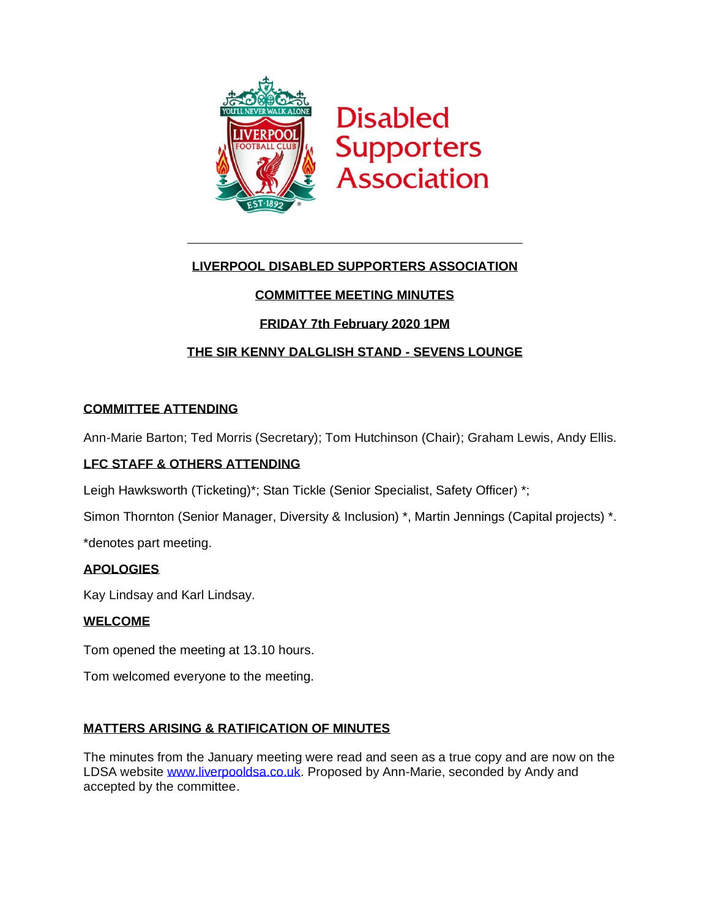

## **LIVERPOOL DISABLED SUPPORTERS ASSOCIATION**

# **COMMITTEE MEETING MINUTES**

## **FRIDAY 7th February 2020 1PM**

## **THE SIR KENNY DALGLISH STAND - SEVENS LOUNGE**

### **COMMITTEE ATTENDING**

Ann-Marie Barton; Ted Morris (Secretary); Tom Hutchinson (Chair); Graham Lewis, Andy Ellis.

### **LFC STAFF & OTHERS ATTENDING**

Leigh Hawksworth (Ticketing)\*; Stan Tickle (Senior Specialist, Safety Officer) \*;

Simon Thornton (Senior Manager, Diversity & Inclusion) \*, Martin Jennings (Capital projects) \*.

\*denotes part meeting.

### **APOLOGIES**

Kay Lindsay and Karl Lindsay.

### **WELCOME**

Tom opened the meeting at 13.10 hours.

Tom welcomed everyone to the meeting.

### **MATTERS ARISING & RATIFICATION OF MINUTES**

The minutes from the January meeting were read and seen as a true copy and are now on the LDSA website [www.liverpooldsa.co.uk.](http://www.liverpooldsa.co.uk/) Proposed by Ann-Marie, seconded by Andy and accepted by the committee.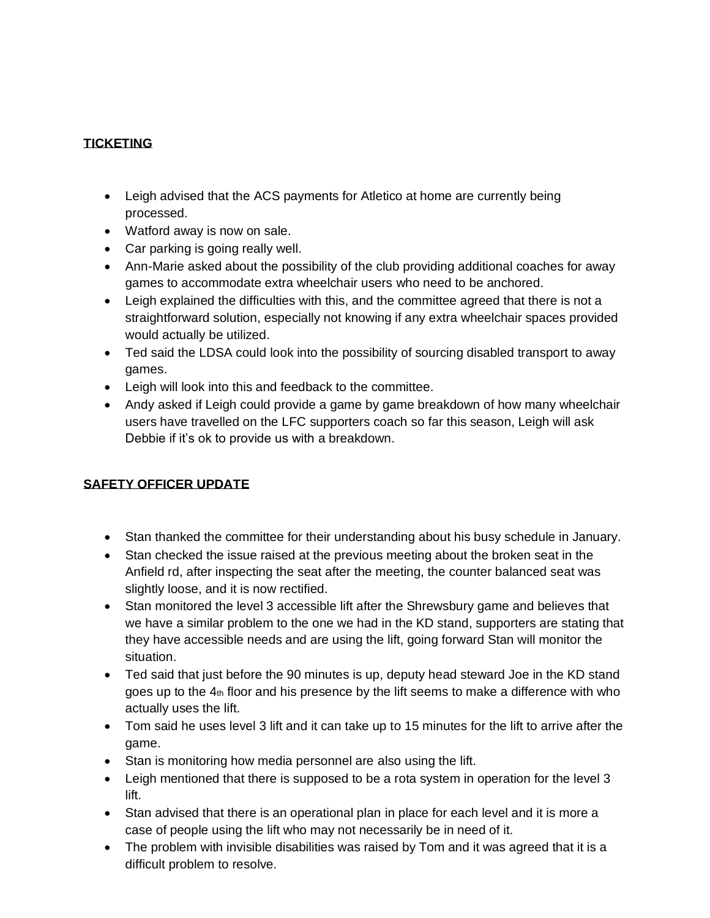# **TICKETING**

- Leigh advised that the ACS payments for Atletico at home are currently being processed.
- Watford away is now on sale.
- Car parking is going really well.
- Ann-Marie asked about the possibility of the club providing additional coaches for away games to accommodate extra wheelchair users who need to be anchored.
- Leigh explained the difficulties with this, and the committee agreed that there is not a straightforward solution, especially not knowing if any extra wheelchair spaces provided would actually be utilized.
- Ted said the LDSA could look into the possibility of sourcing disabled transport to away games.
- Leigh will look into this and feedback to the committee.
- Andy asked if Leigh could provide a game by game breakdown of how many wheelchair users have travelled on the LFC supporters coach so far this season, Leigh will ask Debbie if it's ok to provide us with a breakdown.

# **SAFETY OFFICER UPDATE**

- Stan thanked the committee for their understanding about his busy schedule in January.
- Stan checked the issue raised at the previous meeting about the broken seat in the Anfield rd, after inspecting the seat after the meeting, the counter balanced seat was slightly loose, and it is now rectified.
- Stan monitored the level 3 accessible lift after the Shrewsbury game and believes that we have a similar problem to the one we had in the KD stand, supporters are stating that they have accessible needs and are using the lift, going forward Stan will monitor the situation.
- Ted said that just before the 90 minutes is up, deputy head steward Joe in the KD stand goes up to the  $4<sub>th</sub>$  floor and his presence by the lift seems to make a difference with who actually uses the lift.
- Tom said he uses level 3 lift and it can take up to 15 minutes for the lift to arrive after the game.
- Stan is monitoring how media personnel are also using the lift.
- Leigh mentioned that there is supposed to be a rota system in operation for the level 3 lift.
- Stan advised that there is an operational plan in place for each level and it is more a case of people using the lift who may not necessarily be in need of it.
- The problem with invisible disabilities was raised by Tom and it was agreed that it is a difficult problem to resolve.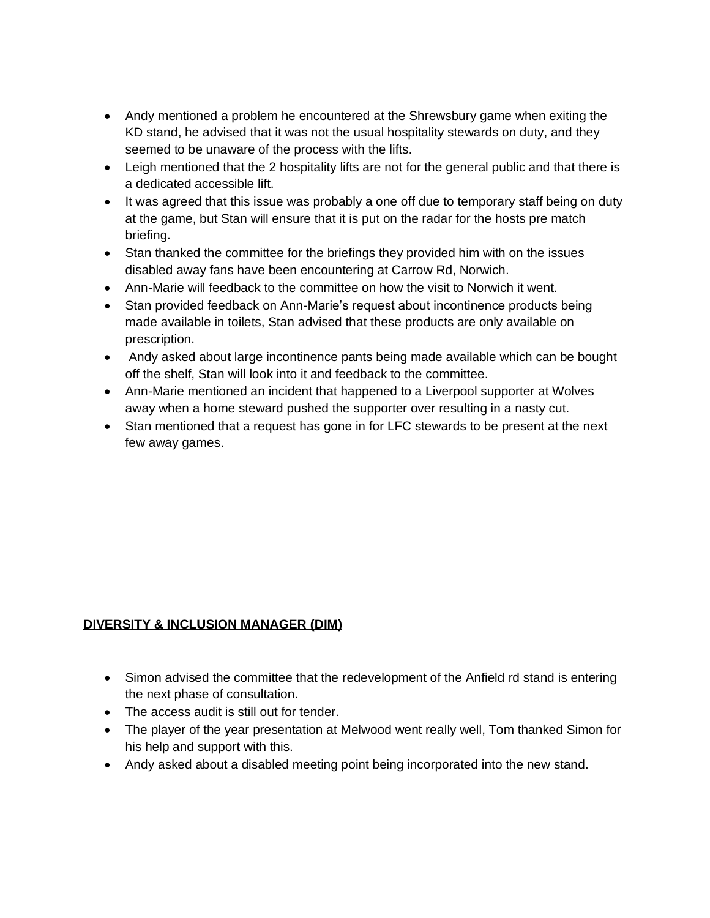- Andy mentioned a problem he encountered at the Shrewsbury game when exiting the KD stand, he advised that it was not the usual hospitality stewards on duty, and they seemed to be unaware of the process with the lifts.
- Leigh mentioned that the 2 hospitality lifts are not for the general public and that there is a dedicated accessible lift.
- It was agreed that this issue was probably a one off due to temporary staff being on duty at the game, but Stan will ensure that it is put on the radar for the hosts pre match briefing.
- Stan thanked the committee for the briefings they provided him with on the issues disabled away fans have been encountering at Carrow Rd, Norwich.
- Ann-Marie will feedback to the committee on how the visit to Norwich it went.
- Stan provided feedback on Ann-Marie's request about incontinence products being made available in toilets, Stan advised that these products are only available on prescription.
- Andy asked about large incontinence pants being made available which can be bought off the shelf, Stan will look into it and feedback to the committee.
- Ann-Marie mentioned an incident that happened to a Liverpool supporter at Wolves away when a home steward pushed the supporter over resulting in a nasty cut.
- Stan mentioned that a request has gone in for LFC stewards to be present at the next few away games.

# **DIVERSITY & INCLUSION MANAGER (DIM)**

- Simon advised the committee that the redevelopment of the Anfield rd stand is entering the next phase of consultation.
- The access audit is still out for tender.
- The player of the year presentation at Melwood went really well, Tom thanked Simon for his help and support with this.
- Andy asked about a disabled meeting point being incorporated into the new stand.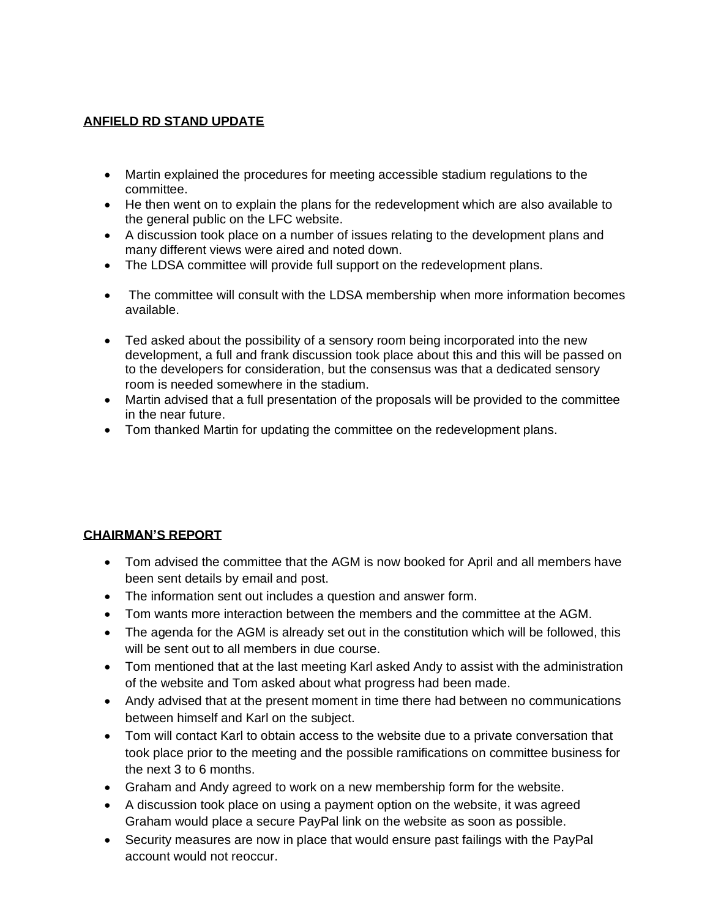### **ANFIELD RD STAND UPDATE**

- Martin explained the procedures for meeting accessible stadium regulations to the committee.
- He then went on to explain the plans for the redevelopment which are also available to the general public on the LFC website.
- A discussion took place on a number of issues relating to the development plans and many different views were aired and noted down.
- The LDSA committee will provide full support on the redevelopment plans.
- The committee will consult with the LDSA membership when more information becomes available.
- Ted asked about the possibility of a sensory room being incorporated into the new development, a full and frank discussion took place about this and this will be passed on to the developers for consideration, but the consensus was that a dedicated sensory room is needed somewhere in the stadium.
- Martin advised that a full presentation of the proposals will be provided to the committee in the near future.
- Tom thanked Martin for updating the committee on the redevelopment plans.

# **CHAIRMAN'S REPORT**

- Tom advised the committee that the AGM is now booked for April and all members have been sent details by email and post.
- The information sent out includes a question and answer form.
- Tom wants more interaction between the members and the committee at the AGM.
- The agenda for the AGM is already set out in the constitution which will be followed, this will be sent out to all members in due course.
- Tom mentioned that at the last meeting Karl asked Andy to assist with the administration of the website and Tom asked about what progress had been made.
- Andy advised that at the present moment in time there had between no communications between himself and Karl on the subject.
- Tom will contact Karl to obtain access to the website due to a private conversation that took place prior to the meeting and the possible ramifications on committee business for the next 3 to 6 months.
- Graham and Andy agreed to work on a new membership form for the website.
- A discussion took place on using a payment option on the website, it was agreed Graham would place a secure PayPal link on the website as soon as possible.
- Security measures are now in place that would ensure past failings with the PayPal account would not reoccur.